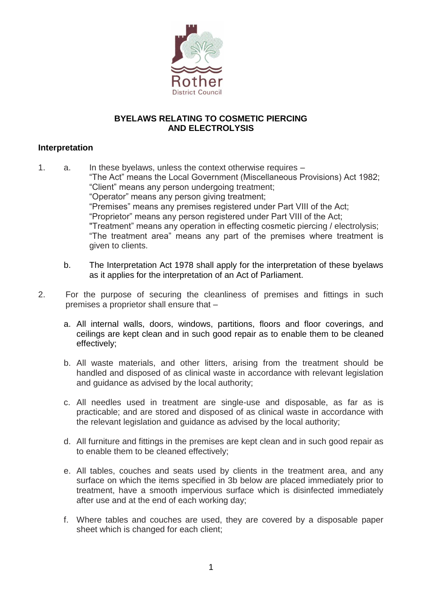

## **BYELAWS RELATING TO COSMETIC PIERCING AND ELECTROLYSIS**

## **Interpretation**

1. a. In these byelaws, unless the context otherwise requires – "The Act" means the Local Government (Miscellaneous Provisions) Act 1982; "Client" means any person undergoing treatment; "Operator" means any person giving treatment; "Premises" means any premises registered under Part VIII of the Act; "Proprietor" means any person registered under Part VIII of the Act; "Treatment" means any operation in effecting cosmetic piercing / electrolysis; "The treatment area" means any part of the premises where treatment is given to clients.

- b. The Interpretation Act 1978 shall apply for the interpretation of these byelaws as it applies for the interpretation of an Act of Parliament.
- 2. For the purpose of securing the cleanliness of premises and fittings in such premises a proprietor shall ensure that –
	- a. All internal walls, doors, windows, partitions, floors and floor coverings, and ceilings are kept clean and in such good repair as to enable them to be cleaned effectively;
	- b. All waste materials, and other litters, arising from the treatment should be handled and disposed of as clinical waste in accordance with relevant legislation and guidance as advised by the local authority;
	- c. All needles used in treatment are single-use and disposable, as far as is practicable; and are stored and disposed of as clinical waste in accordance with the relevant legislation and guidance as advised by the local authority;
	- d. All furniture and fittings in the premises are kept clean and in such good repair as to enable them to be cleaned effectively;
	- e. All tables, couches and seats used by clients in the treatment area, and any surface on which the items specified in 3b below are placed immediately prior to treatment, have a smooth impervious surface which is disinfected immediately after use and at the end of each working day;
	- f. Where tables and couches are used, they are covered by a disposable paper sheet which is changed for each client;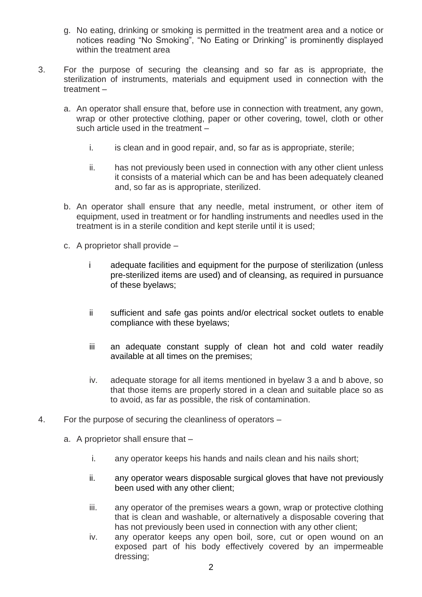- g. No eating, drinking or smoking is permitted in the treatment area and a notice or notices reading "No Smoking", "No Eating or Drinking" is prominently displayed within the treatment area
- 3. For the purpose of securing the cleansing and so far as is appropriate, the sterilization of instruments, materials and equipment used in connection with the treatment –
	- a. An operator shall ensure that, before use in connection with treatment, any gown, wrap or other protective clothing, paper or other covering, towel, cloth or other such article used in the treatment –
		- i. is clean and in good repair, and, so far as is appropriate, sterile;
		- ii. has not previously been used in connection with any other client unless it consists of a material which can be and has been adequately cleaned and, so far as is appropriate, sterilized.
	- b. An operator shall ensure that any needle, metal instrument, or other item of equipment, used in treatment or for handling instruments and needles used in the treatment is in a sterile condition and kept sterile until it is used;
	- c. A proprietor shall provide
		- i adequate facilities and equipment for the purpose of sterilization (unless pre-sterilized items are used) and of cleansing, as required in pursuance of these byelaws;
		- ii sufficient and safe gas points and/or electrical socket outlets to enable compliance with these byelaws;
		- iii an adequate constant supply of clean hot and cold water readily available at all times on the premises;
		- iv. adequate storage for all items mentioned in byelaw 3 a and b above, so that those items are properly stored in a clean and suitable place so as to avoid, as far as possible, the risk of contamination.
- 4. For the purpose of securing the cleanliness of operators
	- a. A proprietor shall ensure that
		- i. any operator keeps his hands and nails clean and his nails short;
		- ii. any operator wears disposable surgical gloves that have not previously been used with any other client;
		- iii. any operator of the premises wears a gown, wrap or protective clothing that is clean and washable, or alternatively a disposable covering that has not previously been used in connection with any other client;
		- iv. any operator keeps any open boil, sore, cut or open wound on an exposed part of his body effectively covered by an impermeable dressing;